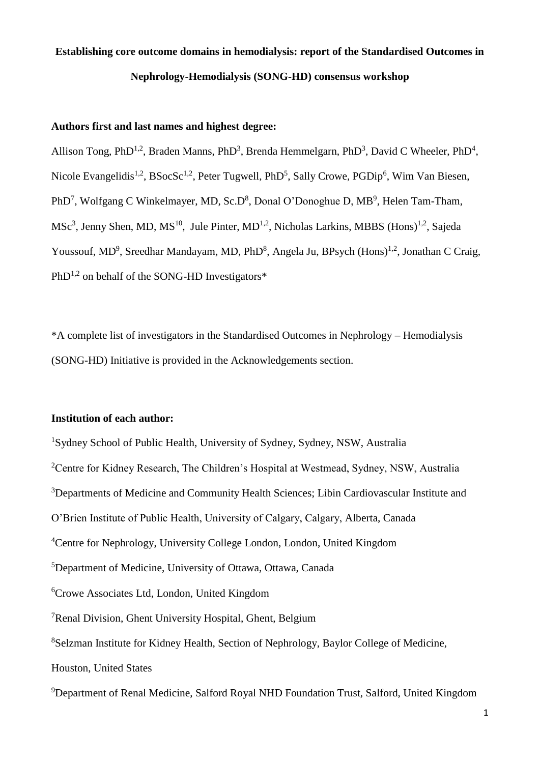# **Establishing core outcome domains in hemodialysis: report of the Standardised Outcomes in Nephrology-Hemodialysis (SONG-HD) consensus workshop**

## **Authors first and last names and highest degree:**

Allison Tong, PhD<sup>1,2</sup>, Braden Manns, PhD<sup>3</sup>, Brenda Hemmelgarn, PhD<sup>3</sup>, David C Wheeler, PhD<sup>4</sup>, Nicole Evangelidis<sup>1,2</sup>, BSocSc<sup>1,2</sup>, Peter Tugwell, PhD<sup>5</sup>, Sally Crowe, PGDip<sup>6</sup>, Wim Van Biesen, PhD<sup>7</sup>, Wolfgang C Winkelmayer, MD, Sc.D<sup>8</sup>, Donal O'Donoghue D, MB<sup>9</sup>, Helen Tam-Tham, MSc<sup>3</sup>, Jenny Shen, MD, MS<sup>10</sup>, Jule Pinter, MD<sup>1,2</sup>, Nicholas Larkins, MBBS (Hons)<sup>1,2</sup>, Sajeda Youssouf, MD<sup>9</sup>, Sreedhar Mandayam, MD, PhD<sup>8</sup>, Angela Ju, BPsych (Hons)<sup>1,2</sup>, Jonathan C Craig, PhD<sup>1,2</sup> on behalf of the SONG-HD Investigators<sup>\*</sup>

\*A complete list of investigators in the Standardised Outcomes in Nephrology – Hemodialysis (SONG-HD) Initiative is provided in the Acknowledgements section.

## **Institution of each author:**

<sup>1</sup>Sydney School of Public Health, University of Sydney, Sydney, NSW, Australia <sup>2</sup>Centre for Kidney Research, The Children's Hospital at Westmead, Sydney, NSW, Australia Departments of Medicine and Community Health Sciences; Libin Cardiovascular Institute and O'Brien Institute of Public Health, University of Calgary, Calgary, Alberta, Canada Centre for Nephrology, University College London, London, United Kingdom Department of Medicine, University of Ottawa, Ottawa, Canada Crowe Associates Ltd, London, United Kingdom Renal Division, Ghent University Hospital, Ghent, Belgium Selzman Institute for Kidney Health, Section of Nephrology, Baylor College of Medicine, Houston, United States Department of Renal Medicine, Salford Royal NHD Foundation Trust, Salford, United Kingdom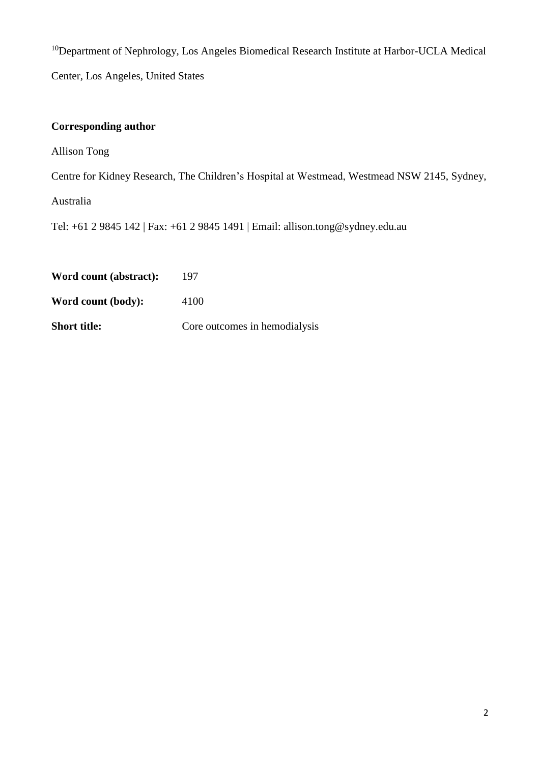<sup>10</sup>Department of Nephrology, Los Angeles Biomedical Research Institute at Harbor-UCLA Medical Center, Los Angeles, United States

## **Corresponding author**

Allison Tong

Centre for Kidney Research, The Children's Hospital at Westmead, Westmead NSW 2145, Sydney,

Australia

Tel: +61 2 9845 142 | Fax: +61 2 9845 1491 | Email: allison.tong@sydney.edu.au

| Word count (abstract): | 197                           |
|------------------------|-------------------------------|
| Word count (body):     | 4100                          |
| <b>Short title:</b>    | Core outcomes in hemodialysis |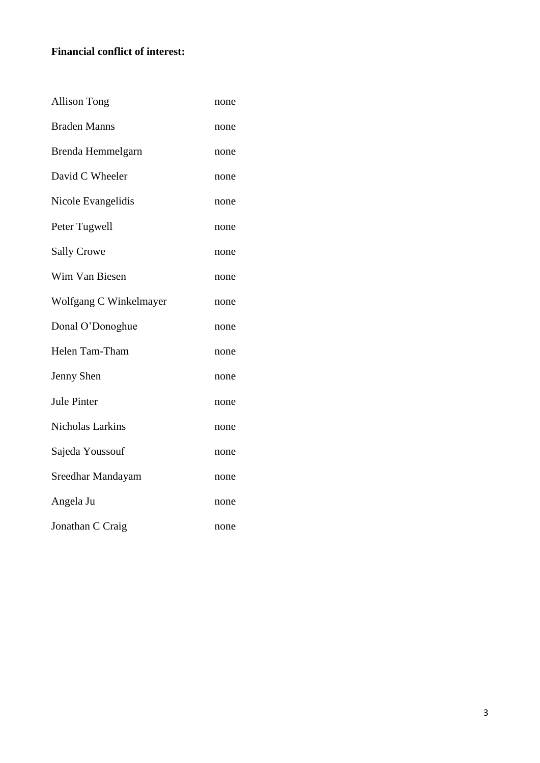## **Financial conflict of interest:**

| <b>Allison Tong</b>     | none |
|-------------------------|------|
| <b>Braden Manns</b>     | none |
| Brenda Hemmelgarn       | none |
| David C Wheeler         | none |
| Nicole Evangelidis      | none |
| Peter Tugwell           | none |
| <b>Sally Crowe</b>      | none |
| Wim Van Biesen          | none |
| Wolfgang C Winkelmayer  | none |
| Donal O'Donoghue        | none |
| Helen Tam-Tham          | none |
| Jenny Shen              | none |
| <b>Jule Pinter</b>      | none |
| <b>Nicholas Larkins</b> | none |
| Sajeda Youssouf         | none |
| Sreedhar Mandayam       | none |
| Angela Ju               | none |
| Jonathan C Craig        | none |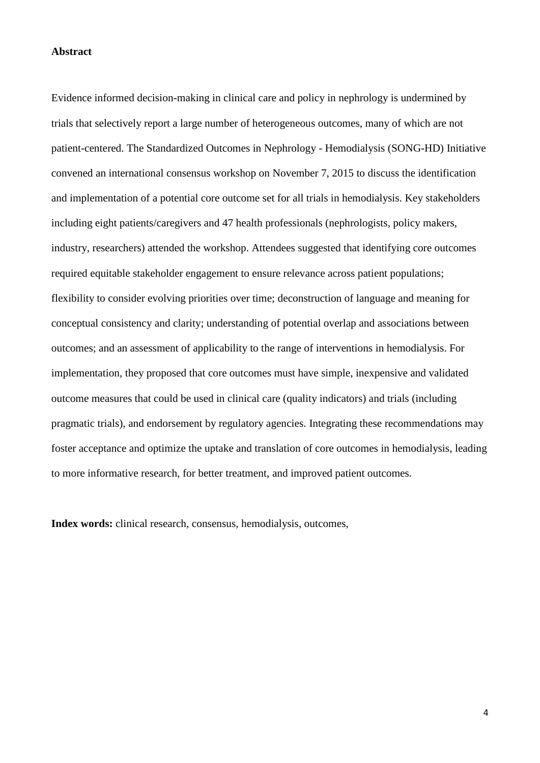#### **Abstract**

Evidence informed decision-making in clinical care and policy in nephrology is undermined by trials that selectively report a large number of heterogeneous outcomes, many of which are not patient-centered. The Standardized Outcomes in Nephrology - Hemodialysis (SONG-HD) Initiative convened an international consensus workshop on November 7, 2015 to discuss the identification and implementation of a potential core outcome set for all trials in hemodialysis. Key stakeholders including eight patients/caregivers and 47 health professionals (nephrologists, policy makers, industry, researchers) attended the workshop. Attendees suggested that identifying core outcomes required equitable stakeholder engagement to ensure relevance across patient populations; flexibility to consider evolving priorities over time; deconstruction of language and meaning for conceptual consistency and clarity; understanding of potential overlap and associations between outcomes; and an assessment of applicability to the range of interventions in hemodialysis. For implementation, they proposed that core outcomes must have simple, inexpensive and validated outcome measures that could be used in clinical care (quality indicators) and trials (including pragmatic trials), and endorsement by regulatory agencies. Integrating these recommendations may foster acceptance and optimize the uptake and translation of core outcomes in hemodialysis, leading to more informative research, for better treatment, and improved patient outcomes.

**Index words:** clinical research, consensus, hemodialysis, outcomes,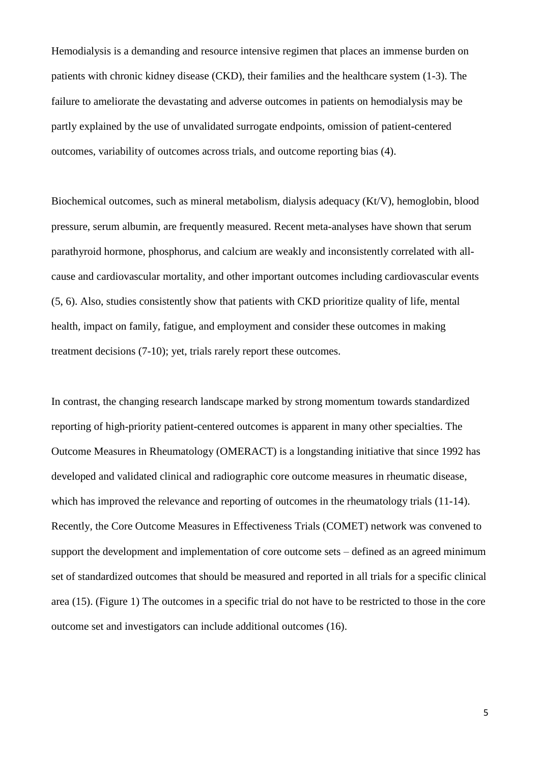Hemodialysis is a demanding and resource intensive regimen that places an immense burden on patients with chronic kidney disease (CKD), their families and the healthcare system [\(1-3\)](#page-21-0). The failure to ameliorate the devastating and adverse outcomes in patients on hemodialysis may be partly explained by the use of unvalidated surrogate endpoints, omission of patient-centered outcomes, variability of outcomes across trials, and outcome reporting bias [\(4\)](#page-21-1).

Biochemical outcomes, such as mineral metabolism, dialysis adequacy (Kt/V), hemoglobin, blood pressure, serum albumin, are frequently measured. Recent meta-analyses have shown that serum parathyroid hormone, phosphorus, and calcium are weakly and inconsistently correlated with allcause and cardiovascular mortality, and other important outcomes including cardiovascular events [\(5,](#page-21-2) [6\)](#page-21-3). Also, studies consistently show that patients with CKD prioritize quality of life, mental health, impact on family, fatigue, and employment and consider these outcomes in making treatment decisions [\(7-10\)](#page-21-4); yet, trials rarely report these outcomes.

In contrast, the changing research landscape marked by strong momentum towards standardized reporting of high-priority patient-centered outcomes is apparent in many other specialties. The Outcome Measures in Rheumatology (OMERACT) is a longstanding initiative that since 1992 has developed and validated clinical and radiographic core outcome measures in rheumatic disease, which has improved the relevance and reporting of outcomes in the rheumatology trials [\(11-14\)](#page-22-0). Recently, the Core Outcome Measures in Effectiveness Trials (COMET) network was convened to support the development and implementation of core outcome sets – defined as an agreed minimum set of standardized outcomes that should be measured and reported in all trials for a specific clinical area [\(15\)](#page-22-1). (Figure 1) The outcomes in a specific trial do not have to be restricted to those in the core outcome set and investigators can include additional outcomes [\(16\)](#page-22-2).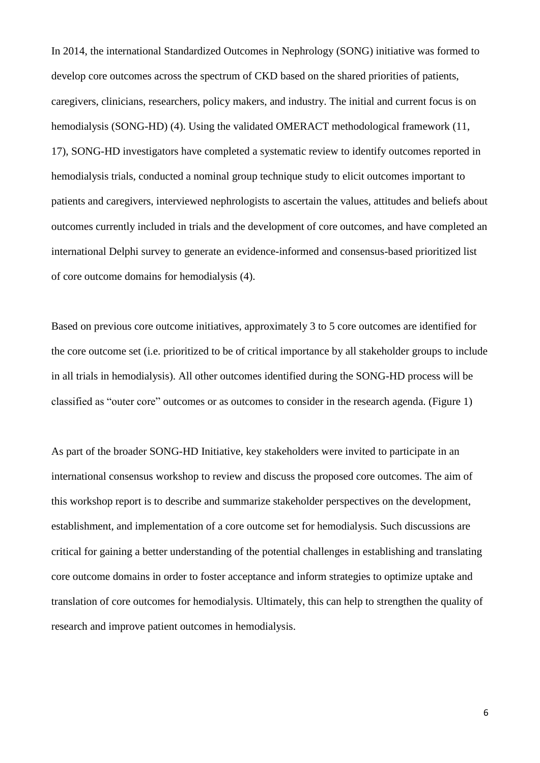In 2014, the international Standardized Outcomes in Nephrology (SONG) initiative was formed to develop core outcomes across the spectrum of CKD based on the shared priorities of patients, caregivers, clinicians, researchers, policy makers, and industry. The initial and current focus is on hemodialysis (SONG-HD) [\(4\)](#page-21-1). Using the validated OMERACT methodological framework [\(11,](#page-22-0) [17\)](#page-22-3), SONG-HD investigators have completed a systematic review to identify outcomes reported in hemodialysis trials, conducted a nominal group technique study to elicit outcomes important to patients and caregivers, interviewed nephrologists to ascertain the values, attitudes and beliefs about outcomes currently included in trials and the development of core outcomes, and have completed an international Delphi survey to generate an evidence-informed and consensus-based prioritized list of core outcome domains for hemodialysis [\(4\)](#page-21-1).

Based on previous core outcome initiatives, approximately 3 to 5 core outcomes are identified for the core outcome set (i.e. prioritized to be of critical importance by all stakeholder groups to include in all trials in hemodialysis). All other outcomes identified during the SONG-HD process will be classified as "outer core" outcomes or as outcomes to consider in the research agenda. (Figure 1)

As part of the broader SONG-HD Initiative, key stakeholders were invited to participate in an international consensus workshop to review and discuss the proposed core outcomes. The aim of this workshop report is to describe and summarize stakeholder perspectives on the development, establishment, and implementation of a core outcome set for hemodialysis. Such discussions are critical for gaining a better understanding of the potential challenges in establishing and translating core outcome domains in order to foster acceptance and inform strategies to optimize uptake and translation of core outcomes for hemodialysis. Ultimately, this can help to strengthen the quality of research and improve patient outcomes in hemodialysis.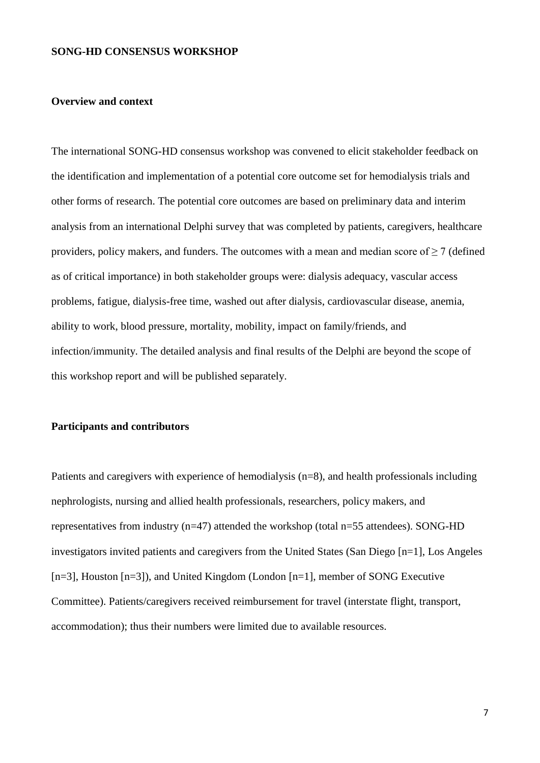#### **SONG-HD CONSENSUS WORKSHOP**

#### **Overview and context**

The international SONG-HD consensus workshop was convened to elicit stakeholder feedback on the identification and implementation of a potential core outcome set for hemodialysis trials and other forms of research. The potential core outcomes are based on preliminary data and interim analysis from an international Delphi survey that was completed by patients, caregivers, healthcare providers, policy makers, and funders. The outcomes with a mean and median score of  $\geq$  7 (defined as of critical importance) in both stakeholder groups were: dialysis adequacy, vascular access problems, fatigue, dialysis-free time, washed out after dialysis, cardiovascular disease, anemia, ability to work, blood pressure, mortality, mobility, impact on family/friends, and infection/immunity. The detailed analysis and final results of the Delphi are beyond the scope of this workshop report and will be published separately.

#### **Participants and contributors**

Patients and caregivers with experience of hemodialysis (n=8), and health professionals including nephrologists, nursing and allied health professionals, researchers, policy makers, and representatives from industry (n=47) attended the workshop (total n=55 attendees). SONG-HD investigators invited patients and caregivers from the United States (San Diego [n=1], Los Angeles [n=3], Houston [n=3]), and United Kingdom (London [n=1], member of SONG Executive Committee). Patients/caregivers received reimbursement for travel (interstate flight, transport, accommodation); thus their numbers were limited due to available resources.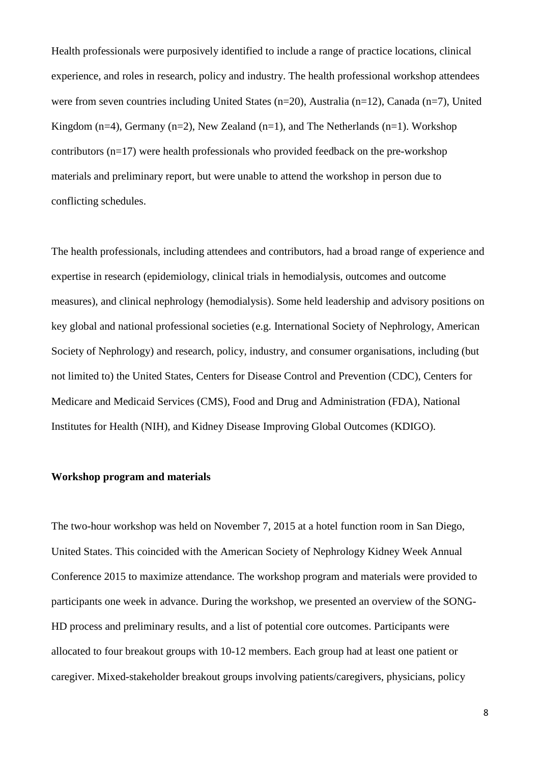Health professionals were purposively identified to include a range of practice locations, clinical experience, and roles in research, policy and industry. The health professional workshop attendees were from seven countries including United States (n=20), Australia (n=12), Canada (n=7), United Kingdom (n=4), Germany (n=2), New Zealand (n=1), and The Netherlands (n=1). Workshop contributors (n=17) were health professionals who provided feedback on the pre-workshop materials and preliminary report, but were unable to attend the workshop in person due to conflicting schedules.

The health professionals, including attendees and contributors, had a broad range of experience and expertise in research (epidemiology, clinical trials in hemodialysis, outcomes and outcome measures), and clinical nephrology (hemodialysis). Some held leadership and advisory positions on key global and national professional societies (e.g. International Society of Nephrology, American Society of Nephrology) and research, policy, industry, and consumer organisations, including (but not limited to) the United States, Centers for Disease Control and Prevention (CDC), Centers for Medicare and Medicaid Services (CMS), Food and Drug and Administration (FDA), National Institutes for Health (NIH), and Kidney Disease Improving Global Outcomes (KDIGO).

## **Workshop program and materials**

The two-hour workshop was held on November 7, 2015 at a hotel function room in San Diego, United States. This coincided with the American Society of Nephrology Kidney Week Annual Conference 2015 to maximize attendance. The workshop program and materials were provided to participants one week in advance. During the workshop, we presented an overview of the SONG-HD process and preliminary results, and a list of potential core outcomes. Participants were allocated to four breakout groups with 10-12 members. Each group had at least one patient or caregiver. Mixed-stakeholder breakout groups involving patients/caregivers, physicians, policy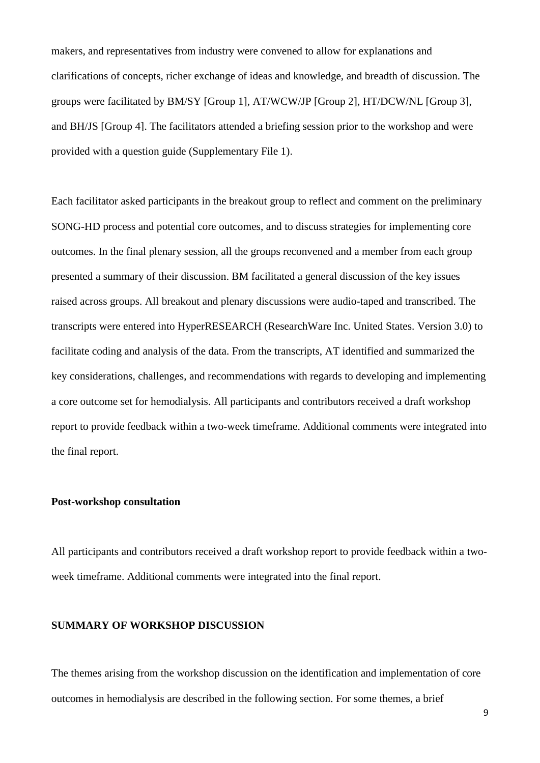makers, and representatives from industry were convened to allow for explanations and clarifications of concepts, richer exchange of ideas and knowledge, and breadth of discussion. The groups were facilitated by BM/SY [Group 1], AT/WCW/JP [Group 2], HT/DCW/NL [Group 3], and BH/JS [Group 4]. The facilitators attended a briefing session prior to the workshop and were provided with a question guide (Supplementary File 1).

Each facilitator asked participants in the breakout group to reflect and comment on the preliminary SONG-HD process and potential core outcomes, and to discuss strategies for implementing core outcomes. In the final plenary session, all the groups reconvened and a member from each group presented a summary of their discussion. BM facilitated a general discussion of the key issues raised across groups. All breakout and plenary discussions were audio-taped and transcribed. The transcripts were entered into HyperRESEARCH (ResearchWare Inc. United States. Version 3.0) to facilitate coding and analysis of the data. From the transcripts, AT identified and summarized the key considerations, challenges, and recommendations with regards to developing and implementing a core outcome set for hemodialysis. All participants and contributors received a draft workshop report to provide feedback within a two-week timeframe. Additional comments were integrated into the final report.

### **Post-workshop consultation**

All participants and contributors received a draft workshop report to provide feedback within a twoweek timeframe. Additional comments were integrated into the final report.

#### **SUMMARY OF WORKSHOP DISCUSSION**

The themes arising from the workshop discussion on the identification and implementation of core outcomes in hemodialysis are described in the following section. For some themes, a brief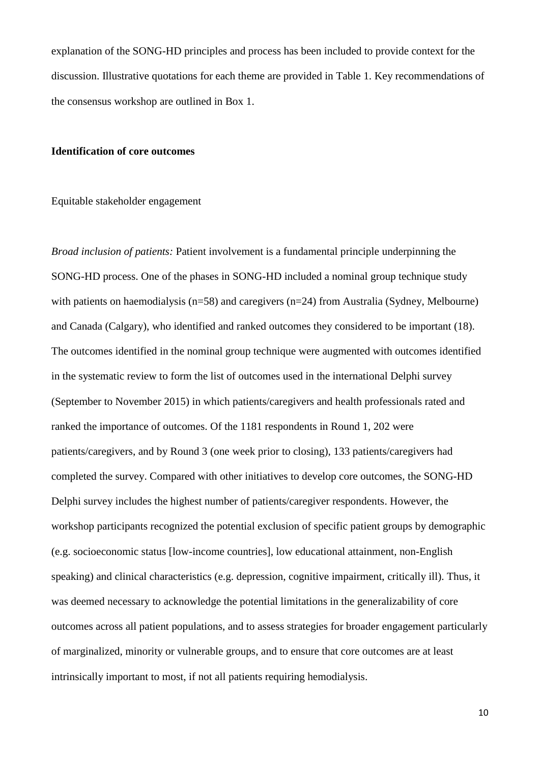explanation of the SONG-HD principles and process has been included to provide context for the discussion. Illustrative quotations for each theme are provided in Table 1. Key recommendations of the consensus workshop are outlined in Box 1.

#### **Identification of core outcomes**

#### Equitable stakeholder engagement

*Broad inclusion of patients:* Patient involvement is a fundamental principle underpinning the SONG-HD process. One of the phases in SONG-HD included a nominal group technique study with patients on haemodialysis (n=58) and caregivers (n=24) from Australia (Sydney, Melbourne) and Canada (Calgary), who identified and ranked outcomes they considered to be important [\(18\)](#page-22-4). The outcomes identified in the nominal group technique were augmented with outcomes identified in the systematic review to form the list of outcomes used in the international Delphi survey (September to November 2015) in which patients/caregivers and health professionals rated and ranked the importance of outcomes. Of the 1181 respondents in Round 1, 202 were patients/caregivers, and by Round 3 (one week prior to closing), 133 patients/caregivers had completed the survey. Compared with other initiatives to develop core outcomes, the SONG-HD Delphi survey includes the highest number of patients/caregiver respondents. However, the workshop participants recognized the potential exclusion of specific patient groups by demographic (e.g. socioeconomic status [low-income countries], low educational attainment, non-English speaking) and clinical characteristics (e.g. depression, cognitive impairment, critically ill). Thus, it was deemed necessary to acknowledge the potential limitations in the generalizability of core outcomes across all patient populations, and to assess strategies for broader engagement particularly of marginalized, minority or vulnerable groups, and to ensure that core outcomes are at least intrinsically important to most, if not all patients requiring hemodialysis.

10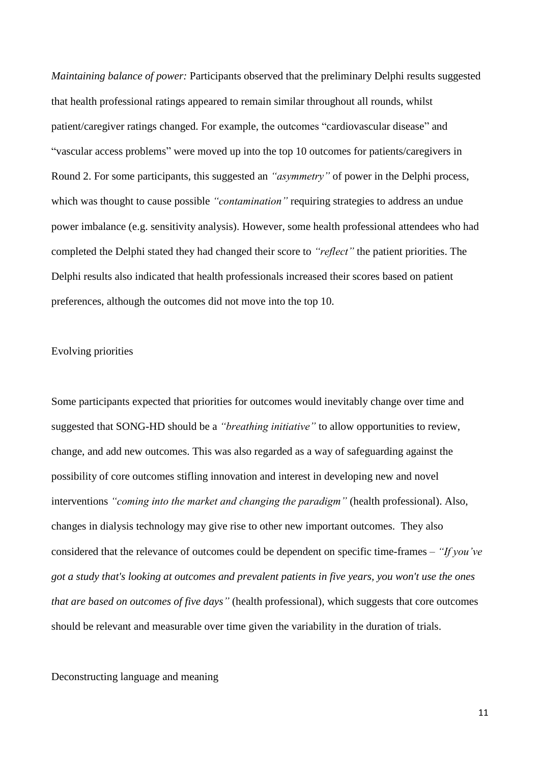*Maintaining balance of power: Participants observed that the preliminary Delphi results suggested* that health professional ratings appeared to remain similar throughout all rounds, whilst patient/caregiver ratings changed. For example, the outcomes "cardiovascular disease" and "vascular access problems" were moved up into the top 10 outcomes for patients/caregivers in Round 2. For some participants, this suggested an *"asymmetry"* of power in the Delphi process, which was thought to cause possible *"contamination"* requiring strategies to address an undue power imbalance (e.g. sensitivity analysis). However, some health professional attendees who had completed the Delphi stated they had changed their score to *"reflect"* the patient priorities. The Delphi results also indicated that health professionals increased their scores based on patient preferences, although the outcomes did not move into the top 10.

## Evolving priorities

Some participants expected that priorities for outcomes would inevitably change over time and suggested that SONG-HD should be a *"breathing initiative"* to allow opportunities to review, change, and add new outcomes. This was also regarded as a way of safeguarding against the possibility of core outcomes stifling innovation and interest in developing new and novel interventions *"coming into the market and changing the paradigm"* (health professional). Also, changes in dialysis technology may give rise to other new important outcomes. They also considered that the relevance of outcomes could be dependent on specific time-frames – *"If you've got a study that's looking at outcomes and prevalent patients in five years, you won't use the ones that are based on outcomes of five days"* (health professional)*,* which suggests that core outcomes should be relevant and measurable over time given the variability in the duration of trials.

Deconstructing language and meaning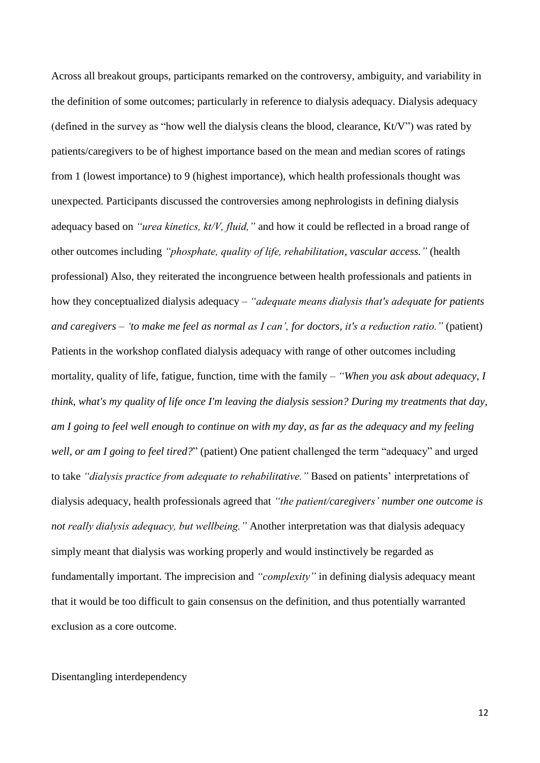Across all breakout groups, participants remarked on the controversy, ambiguity, and variability in the definition of some outcomes; particularly in reference to dialysis adequacy. Dialysis adequacy (defined in the survey as "how well the dialysis cleans the blood, clearance, Kt/V") was rated by patients/caregivers to be of highest importance based on the mean and median scores of ratings from 1 (lowest importance) to 9 (highest importance), which health professionals thought was unexpected. Participants discussed the controversies among nephrologists in defining dialysis adequacy based on *"urea kinetics, kt/V, fluid,"* and how it could be reflected in a broad range of other outcomes including *"phosphate, quality of life, rehabilitation, vascular access."* (health professional) Also, they reiterated the incongruence between health professionals and patients in how they conceptualized dialysis adequacy – *"adequate means dialysis that's adequate for patients and caregivers – 'to make me feel as normal as I can', for doctors, it's a reduction ratio."* (patient) Patients in the workshop conflated dialysis adequacy with range of other outcomes including mortality, quality of life, fatigue, function, time with the family – *"When you ask about adequacy, I think, what's my quality of life once I'm leaving the dialysis session? During my treatments that day, am I going to feel well enough to continue on with my day, as far as the adequacy and my feeling well, or am I going to feel tired?*" (patient) One patient challenged the term "adequacy" and urged to take *"dialysis practice from adequate to rehabilitative."* Based on patients' interpretations of dialysis adequacy, health professionals agreed that *"the patient/caregivers' number one outcome is not really dialysis adequacy, but wellbeing."* Another interpretation was that dialysis adequacy simply meant that dialysis was working properly and would instinctively be regarded as fundamentally important. The imprecision and *"complexity"* in defining dialysis adequacy meant that it would be too difficult to gain consensus on the definition, and thus potentially warranted exclusion as a core outcome.

#### Disentangling interdependency

12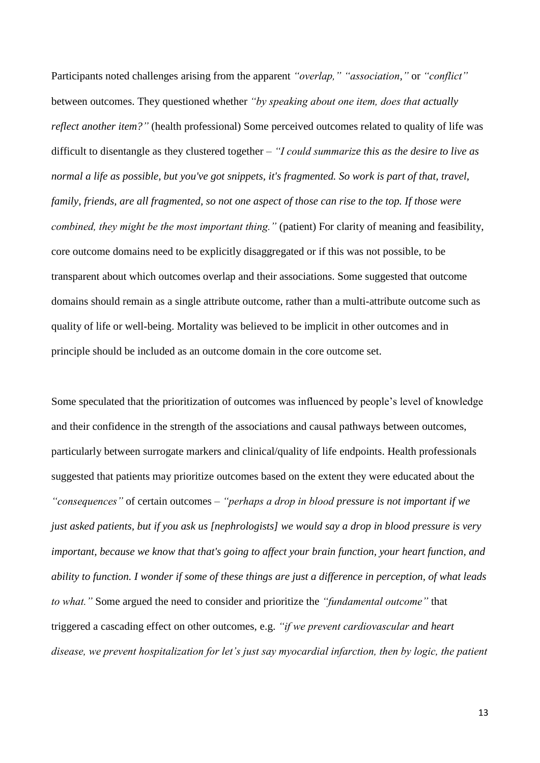Participants noted challenges arising from the apparent *"overlap," "association,"* or *"conflict"* between outcomes. They questioned whether *"by speaking about one item, does that actually reflect another item?"* (health professional) Some perceived outcomes related to quality of life was difficult to disentangle as they clustered together – *"I could summarize this as the desire to live as normal a life as possible, but you've got snippets, it's fragmented. So work is part of that, travel, family, friends, are all fragmented, so not one aspect of those can rise to the top. If those were combined, they might be the most important thing."* (patient) For clarity of meaning and feasibility, core outcome domains need to be explicitly disaggregated or if this was not possible, to be transparent about which outcomes overlap and their associations. Some suggested that outcome domains should remain as a single attribute outcome, rather than a multi-attribute outcome such as quality of life or well-being. Mortality was believed to be implicit in other outcomes and in principle should be included as an outcome domain in the core outcome set.

Some speculated that the prioritization of outcomes was influenced by people's level of knowledge and their confidence in the strength of the associations and causal pathways between outcomes, particularly between surrogate markers and clinical/quality of life endpoints. Health professionals suggested that patients may prioritize outcomes based on the extent they were educated about the *"consequences"* of certain outcomes – *"perhaps a drop in blood pressure is not important if we just asked patients, but if you ask us [nephrologists] we would say a drop in blood pressure is very important, because we know that that's going to affect your brain function, your heart function, and ability to function. I wonder if some of these things are just a difference in perception, of what leads to what."* Some argued the need to consider and prioritize the *"fundamental outcome"* that triggered a cascading effect on other outcomes, e.g. *"if we prevent cardiovascular and heart disease, we prevent hospitalization for let's just say myocardial infarction, then by logic, the patient*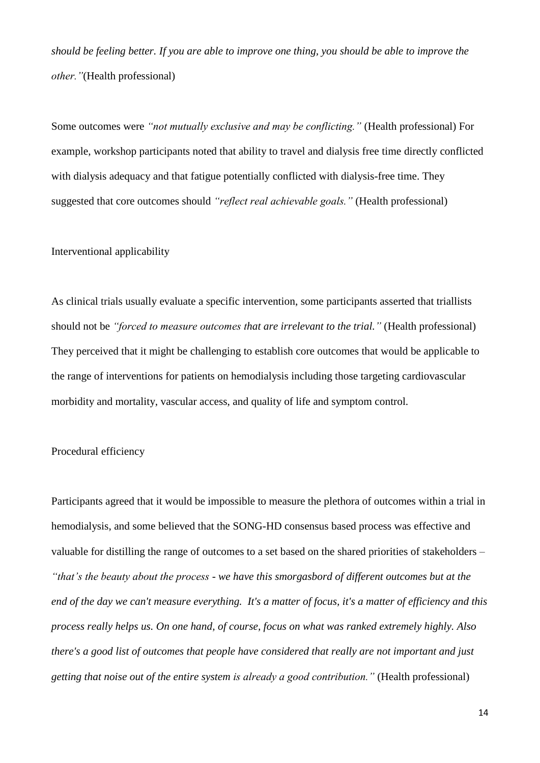*should be feeling better. If you are able to improve one thing, you should be able to improve the other."*(Health professional)

Some outcomes were *"not mutually exclusive and may be conflicting."* (Health professional) For example, workshop participants noted that ability to travel and dialysis free time directly conflicted with dialysis adequacy and that fatigue potentially conflicted with dialysis-free time. They suggested that core outcomes should *"reflect real achievable goals."* (Health professional)

#### Interventional applicability

As clinical trials usually evaluate a specific intervention, some participants asserted that triallists should not be *"forced to measure outcomes that are irrelevant to the trial."* (Health professional) They perceived that it might be challenging to establish core outcomes that would be applicable to the range of interventions for patients on hemodialysis including those targeting cardiovascular morbidity and mortality, vascular access, and quality of life and symptom control.

## Procedural efficiency

Participants agreed that it would be impossible to measure the plethora of outcomes within a trial in hemodialysis, and some believed that the SONG-HD consensus based process was effective and valuable for distilling the range of outcomes to a set based on the shared priorities of stakeholders – *"that's the beauty about the process - we have this smorgasbord of different outcomes but at the end of the day we can't measure everything. It's a matter of focus, it's a matter of efficiency and this process really helps us. On one hand, of course, focus on what was ranked extremely highly. Also there's a good list of outcomes that people have considered that really are not important and just getting that noise out of the entire system is already a good contribution."* (Health professional)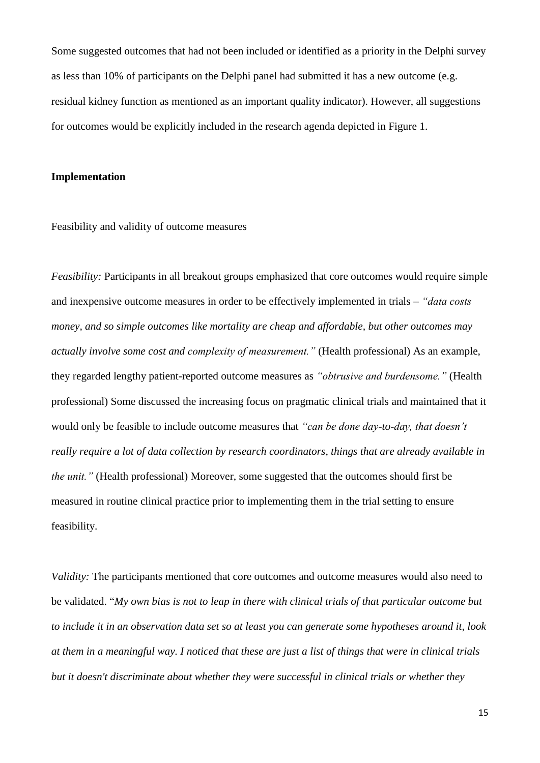Some suggested outcomes that had not been included or identified as a priority in the Delphi survey as less than 10% of participants on the Delphi panel had submitted it has a new outcome (e.g. residual kidney function as mentioned as an important quality indicator). However, all suggestions for outcomes would be explicitly included in the research agenda depicted in Figure 1.

#### **Implementation**

Feasibility and validity of outcome measures

*Feasibility:* Participants in all breakout groups emphasized that core outcomes would require simple and inexpensive outcome measures in order to be effectively implemented in trials – *"data costs money, and so simple outcomes like mortality are cheap and affordable, but other outcomes may actually involve some cost and complexity of measurement."* (Health professional) As an example, they regarded lengthy patient-reported outcome measures as *"obtrusive and burdensome."* (Health professional) Some discussed the increasing focus on pragmatic clinical trials and maintained that it would only be feasible to include outcome measures that *"can be done day-to-day, that doesn't really require a lot of data collection by research coordinators, things that are already available in the unit."* (Health professional) Moreover, some suggested that the outcomes should first be measured in routine clinical practice prior to implementing them in the trial setting to ensure feasibility.

*Validity:* The participants mentioned that core outcomes and outcome measures would also need to be validated. "*My own bias is not to leap in there with clinical trials of that particular outcome but to include it in an observation data set so at least you can generate some hypotheses around it, look at them in a meaningful way. I noticed that these are just a list of things that were in clinical trials but it doesn't discriminate about whether they were successful in clinical trials or whether they*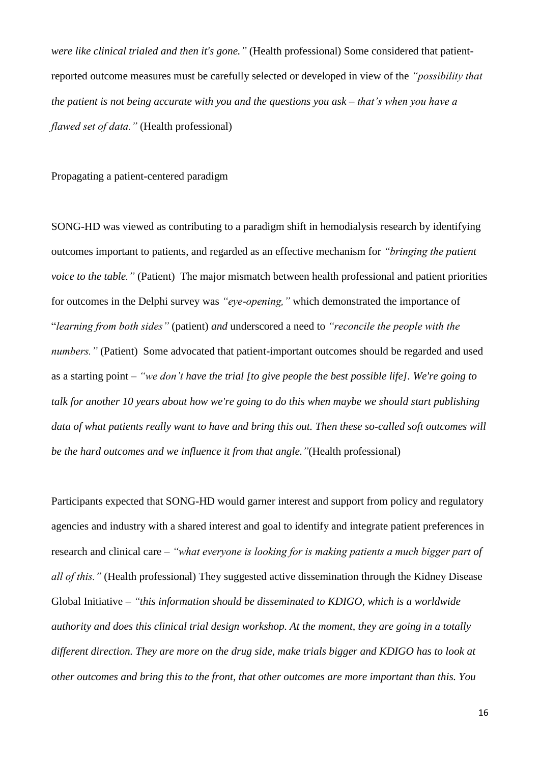*were like clinical trialed and then it's gone."* (Health professional) Some considered that patientreported outcome measures must be carefully selected or developed in view of the *"possibility that the patient is not being accurate with you and the questions you ask – that's when you have a flawed set of data."* (Health professional)

Propagating a patient-centered paradigm

SONG-HD was viewed as contributing to a paradigm shift in hemodialysis research by identifying outcomes important to patients, and regarded as an effective mechanism for *"bringing the patient voice to the table.*" (Patient) The major mismatch between health professional and patient priorities for outcomes in the Delphi survey was *"eye-opening,"* which demonstrated the importance of "*learning from both sides"* (patient) *and* underscored a need to *"reconcile the people with the numbers.*" (Patient) Some advocated that patient-important outcomes should be regarded and used as a starting point – *"we don't have the trial [to give people the best possible life]. We're going to talk for another 10 years about how we're going to do this when maybe we should start publishing data of what patients really want to have and bring this out. Then these so-called soft outcomes will be the hard outcomes and we influence it from that angle."*(Health professional)

Participants expected that SONG-HD would garner interest and support from policy and regulatory agencies and industry with a shared interest and goal to identify and integrate patient preferences in research and clinical care – *"what everyone is looking for is making patients a much bigger part of all of this."* (Health professional) They suggested active dissemination through the Kidney Disease Global Initiative – *"this information should be disseminated to KDIGO, which is a worldwide authority and does this clinical trial design workshop. At the moment, they are going in a totally different direction. They are more on the drug side, make trials bigger and KDIGO has to look at other outcomes and bring this to the front, that other outcomes are more important than this. You*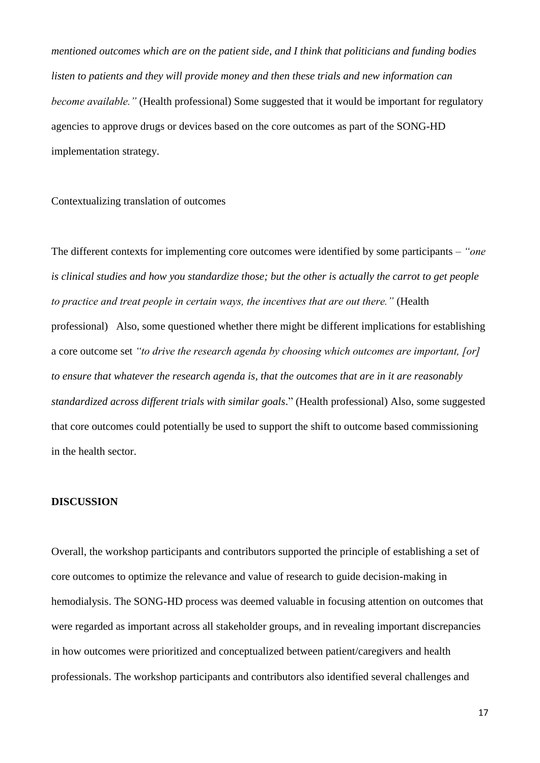*mentioned outcomes which are on the patient side, and I think that politicians and funding bodies listen to patients and they will provide money and then these trials and new information can become available."* (Health professional) Some suggested that it would be important for regulatory agencies to approve drugs or devices based on the core outcomes as part of the SONG-HD implementation strategy.

Contextualizing translation of outcomes

The different contexts for implementing core outcomes were identified by some participants – *"one is clinical studies and how you standardize those; but the other is actually the carrot to get people to practice and treat people in certain ways, the incentives that are out there."* (Health professional)Also, some questioned whether there might be different implications for establishing a core outcome set *"to drive the research agenda by choosing which outcomes are important, [or] to ensure that whatever the research agenda is, that the outcomes that are in it are reasonably standardized across different trials with similar goals*." (Health professional) Also, some suggested that core outcomes could potentially be used to support the shift to outcome based commissioning in the health sector.

## **DISCUSSION**

Overall, the workshop participants and contributors supported the principle of establishing a set of core outcomes to optimize the relevance and value of research to guide decision-making in hemodialysis. The SONG-HD process was deemed valuable in focusing attention on outcomes that were regarded as important across all stakeholder groups, and in revealing important discrepancies in how outcomes were prioritized and conceptualized between patient/caregivers and health professionals. The workshop participants and contributors also identified several challenges and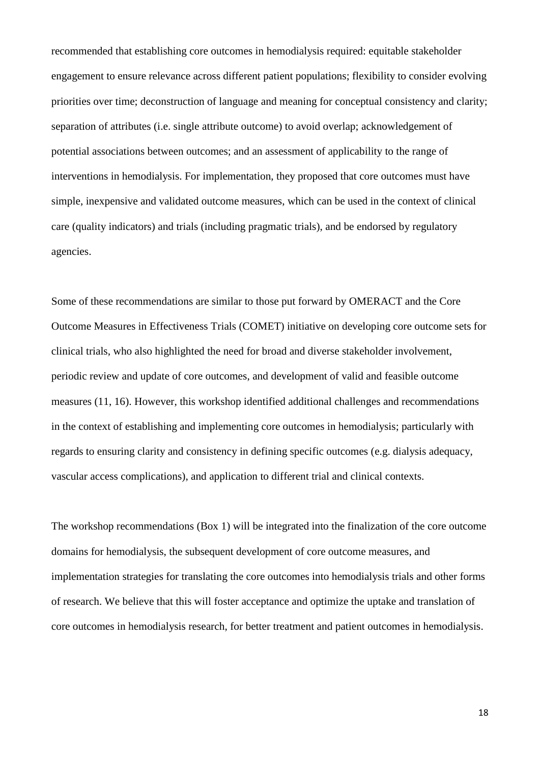recommended that establishing core outcomes in hemodialysis required: equitable stakeholder engagement to ensure relevance across different patient populations; flexibility to consider evolving priorities over time; deconstruction of language and meaning for conceptual consistency and clarity; separation of attributes (i.e. single attribute outcome) to avoid overlap; acknowledgement of potential associations between outcomes; and an assessment of applicability to the range of interventions in hemodialysis. For implementation, they proposed that core outcomes must have simple, inexpensive and validated outcome measures, which can be used in the context of clinical care (quality indicators) and trials (including pragmatic trials), and be endorsed by regulatory agencies.

Some of these recommendations are similar to those put forward by OMERACT and the Core Outcome Measures in Effectiveness Trials (COMET) initiative on developing core outcome sets for clinical trials, who also highlighted the need for broad and diverse stakeholder involvement, periodic review and update of core outcomes, and development of valid and feasible outcome measures [\(11,](#page-22-0) [16\)](#page-22-2). However, this workshop identified additional challenges and recommendations in the context of establishing and implementing core outcomes in hemodialysis; particularly with regards to ensuring clarity and consistency in defining specific outcomes (e.g. dialysis adequacy, vascular access complications), and application to different trial and clinical contexts.

The workshop recommendations (Box 1) will be integrated into the finalization of the core outcome domains for hemodialysis, the subsequent development of core outcome measures, and implementation strategies for translating the core outcomes into hemodialysis trials and other forms of research. We believe that this will foster acceptance and optimize the uptake and translation of core outcomes in hemodialysis research, for better treatment and patient outcomes in hemodialysis.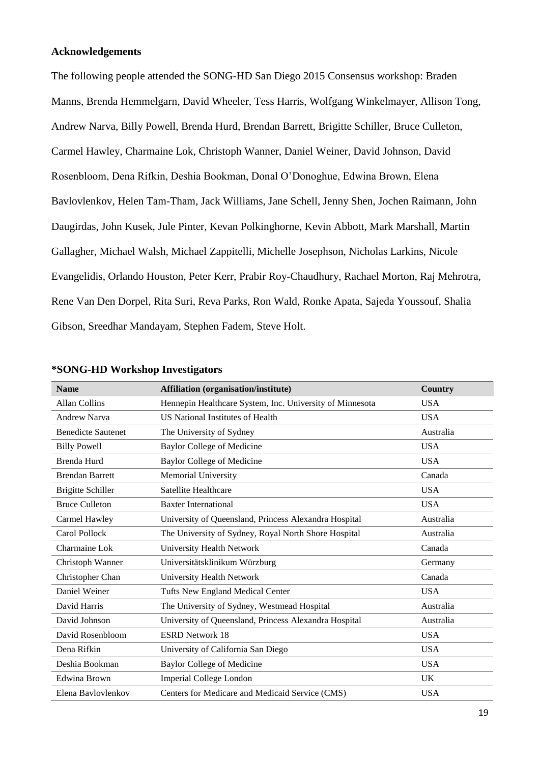### **Acknowledgements**

The following people attended the SONG-HD San Diego 2015 Consensus workshop: Braden Manns, Brenda Hemmelgarn, David Wheeler, Tess Harris, Wolfgang Winkelmayer, Allison Tong, Andrew Narva, Billy Powell, Brenda Hurd, Brendan Barrett, Brigitte Schiller, Bruce Culleton, Carmel Hawley, Charmaine Lok, Christoph Wanner, Daniel Weiner, David Johnson, David Rosenbloom, Dena Rifkin, Deshia Bookman, Donal O'Donoghue, Edwina Brown, Elena Bavlovlenkov, Helen Tam-Tham, Jack Williams, Jane Schell, Jenny Shen, Jochen Raimann, John Daugirdas, John Kusek, Jule Pinter, Kevan Polkinghorne, Kevin Abbott, Mark Marshall, Martin Gallagher, Michael Walsh, Michael Zappitelli, Michelle Josephson, Nicholas Larkins, Nicole Evangelidis, Orlando Houston, Peter Kerr, Prabir Roy-Chaudhury, Rachael Morton, Raj Mehrotra, Rene Van Den Dorpel, Rita Suri, Reva Parks, Ron Wald, Ronke Apata, Sajeda Youssouf, Shalia Gibson, Sreedhar Mandayam, Stephen Fadem, Steve Holt.

| <b>Name</b>               | <b>Affiliation (organisation/institute)</b>              | Country    |
|---------------------------|----------------------------------------------------------|------------|
| Allan Collins             | Hennepin Healthcare System, Inc. University of Minnesota | <b>USA</b> |
| <b>Andrew Narva</b>       | <b>US National Institutes of Health</b>                  | <b>USA</b> |
| <b>Benedicte Sautenet</b> | The University of Sydney                                 | Australia  |
| <b>Billy Powell</b>       | <b>Baylor College of Medicine</b>                        | <b>USA</b> |
| Brenda Hurd               | <b>Baylor College of Medicine</b>                        | <b>USA</b> |
| <b>Brendan Barrett</b>    | <b>Memorial University</b>                               | Canada     |
| <b>Brigitte Schiller</b>  | Satellite Healthcare                                     | <b>USA</b> |
| <b>Bruce Culleton</b>     | <b>Baxter International</b>                              | <b>USA</b> |
| Carmel Hawley             | University of Queensland, Princess Alexandra Hospital    | Australia  |
| Carol Pollock             | The University of Sydney, Royal North Shore Hospital     | Australia  |
| Charmaine Lok             | University Health Network                                | Canada     |
| Christoph Wanner          | Universitätsklinikum Würzburg                            | Germany    |
| Christopher Chan          | University Health Network                                | Canada     |
| Daniel Weiner             | Tufts New England Medical Center                         | <b>USA</b> |
| David Harris              | The University of Sydney, Westmead Hospital              | Australia  |
| David Johnson             | University of Queensland, Princess Alexandra Hospital    | Australia  |
| David Rosenbloom          | <b>ESRD Network 18</b>                                   | <b>USA</b> |
| Dena Rifkin               | University of California San Diego                       | <b>USA</b> |
| Deshia Bookman            | <b>Baylor College of Medicine</b>                        | <b>USA</b> |
| Edwina Brown              | Imperial College London                                  | UK         |
| Elena Bayloylenkoy        | Centers for Medicare and Medicaid Service (CMS)          | <b>USA</b> |

|  |  | *SONG-HD Workshop Investigators |
|--|--|---------------------------------|
|--|--|---------------------------------|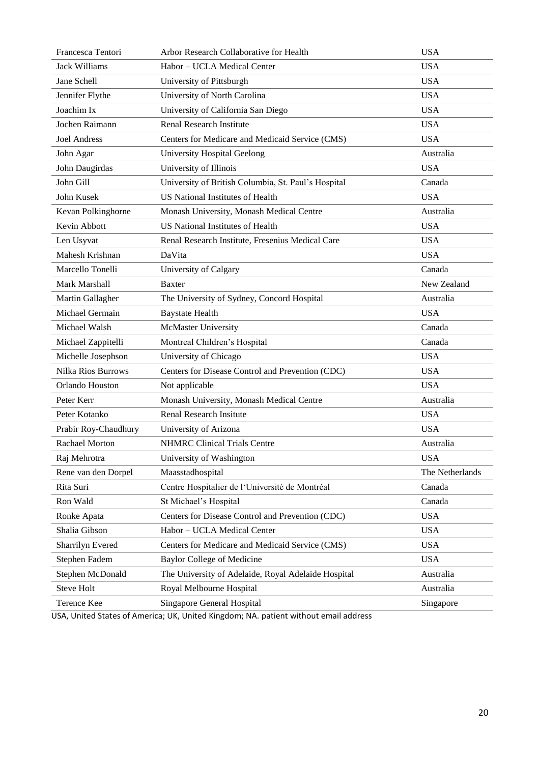| Francesca Tentori         | Arbor Research Collaborative for Health             | <b>USA</b>      |
|---------------------------|-----------------------------------------------------|-----------------|
| <b>Jack Williams</b>      | Habor - UCLA Medical Center                         | <b>USA</b>      |
| Jane Schell               | University of Pittsburgh                            | <b>USA</b>      |
| Jennifer Flythe           | University of North Carolina                        | <b>USA</b>      |
| Joachim Ix                | University of California San Diego                  | <b>USA</b>      |
| Jochen Raimann            | <b>Renal Research Institute</b>                     | <b>USA</b>      |
| <b>Joel Andress</b>       | Centers for Medicare and Medicaid Service (CMS)     | <b>USA</b>      |
| John Agar                 | University Hospital Geelong                         | Australia       |
| John Daugirdas            | University of Illinois                              | <b>USA</b>      |
| John Gill                 | University of British Columbia, St. Paul's Hospital | Canada          |
| John Kusek                | <b>US National Institutes of Health</b>             | <b>USA</b>      |
| Kevan Polkinghorne        | Monash University, Monash Medical Centre            | Australia       |
| Kevin Abbott              | US National Institutes of Health                    | <b>USA</b>      |
| Len Usyvat                | Renal Research Institute, Fresenius Medical Care    | <b>USA</b>      |
| Mahesh Krishnan           | DaVita                                              | <b>USA</b>      |
| Marcello Tonelli          | University of Calgary                               | Canada          |
| Mark Marshall             | <b>Baxter</b>                                       | New Zealand     |
| Martin Gallagher          | The University of Sydney, Concord Hospital          | Australia       |
| Michael Germain           | <b>Baystate Health</b>                              | <b>USA</b>      |
| Michael Walsh             | <b>McMaster University</b>                          | Canada          |
| Michael Zappitelli        | Montreal Children's Hospital                        | Canada          |
| Michelle Josephson        | University of Chicago                               | <b>USA</b>      |
| <b>Nilka Rios Burrows</b> | Centers for Disease Control and Prevention (CDC)    | <b>USA</b>      |
| Orlando Houston           | Not applicable                                      | <b>USA</b>      |
| Peter Kerr                | Monash University, Monash Medical Centre            | Australia       |
| Peter Kotanko             | Renal Research Insitute                             | <b>USA</b>      |
| Prabir Roy-Chaudhury      | University of Arizona                               | <b>USA</b>      |
| <b>Rachael Morton</b>     | <b>NHMRC</b> Clinical Trials Centre                 | Australia       |
| Raj Mehrotra              | University of Washington                            | <b>USA</b>      |
| Rene van den Dorpel       | Maasstadhospital                                    | The Netherlands |
| Rita Suri                 | Centre Hospitalier de l'Université de Montréal      | Canada          |
| Ron Wald                  | St Michael's Hospital                               | Canada          |
| Ronke Apata               | Centers for Disease Control and Prevention (CDC)    | <b>USA</b>      |
| Shalia Gibson             | Habor – UCLA Medical Center                         | <b>USA</b>      |
| Sharrilyn Evered          | Centers for Medicare and Medicaid Service (CMS)     | <b>USA</b>      |
| Stephen Fadem             | <b>Baylor College of Medicine</b>                   | <b>USA</b>      |
| Stephen McDonald          | The University of Adelaide, Royal Adelaide Hospital | Australia       |
| <b>Steve Holt</b>         | Royal Melbourne Hospital                            | Australia       |
| Terence Kee               | Singapore General Hospital                          | Singapore       |

USA, United States of America; UK, United Kingdom; NA. patient without email address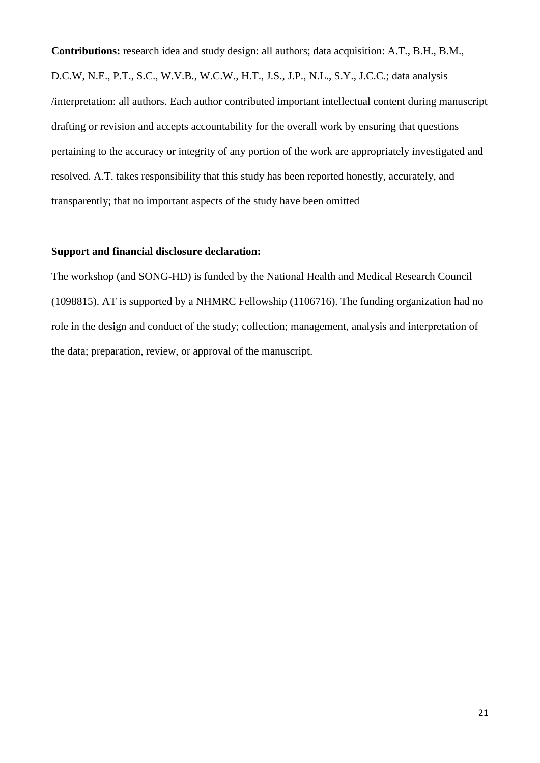**Contributions:** research idea and study design: all authors; data acquisition: A.T., B.H., B.M., D.C.W, N.E., P.T., S.C., W.V.B., W.C.W., H.T., J.S., J.P., N.L., S.Y., J.C.C.; data analysis /interpretation: all authors. Each author contributed important intellectual content during manuscript drafting or revision and accepts accountability for the overall work by ensuring that questions pertaining to the accuracy or integrity of any portion of the work are appropriately investigated and resolved. A.T. takes responsibility that this study has been reported honestly, accurately, and transparently; that no important aspects of the study have been omitted

## **Support and financial disclosure declaration:**

The workshop (and SONG-HD) is funded by the National Health and Medical Research Council (1098815). AT is supported by a NHMRC Fellowship (1106716). The funding organization had no role in the design and conduct of the study; collection; management, analysis and interpretation of the data; preparation, review, or approval of the manuscript.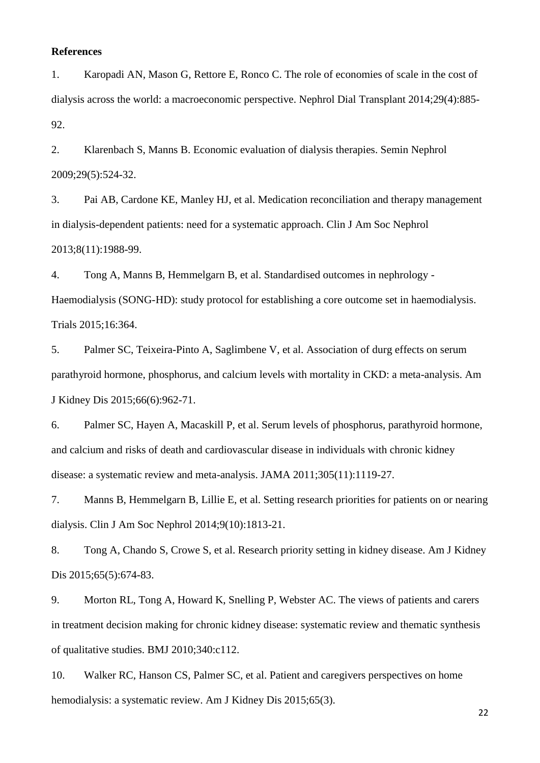#### **References**

<span id="page-21-0"></span>1. Karopadi AN, Mason G, Rettore E, Ronco C. The role of economies of scale in the cost of dialysis across the world: a macroeconomic perspective. Nephrol Dial Transplant 2014;29(4):885- 92.

2. Klarenbach S, Manns B. Economic evaluation of dialysis therapies. Semin Nephrol 2009;29(5):524-32.

3. Pai AB, Cardone KE, Manley HJ, et al. Medication reconciliation and therapy management in dialysis-dependent patients: need for a systematic approach. Clin J Am Soc Nephrol 2013;8(11):1988-99.

<span id="page-21-1"></span>4. Tong A, Manns B, Hemmelgarn B, et al. Standardised outcomes in nephrology - Haemodialysis (SONG-HD): study protocol for establishing a core outcome set in haemodialysis. Trials 2015;16:364.

<span id="page-21-2"></span>5. Palmer SC, Teixeira-Pinto A, Saglimbene V, et al. Association of durg effects on serum parathyroid hormone, phosphorus, and calcium levels with mortality in CKD: a meta-analysis. Am J Kidney Dis 2015;66(6):962-71.

<span id="page-21-3"></span>6. Palmer SC, Hayen A, Macaskill P, et al. Serum levels of phosphorus, parathyroid hormone, and calcium and risks of death and cardiovascular disease in individuals with chronic kidney disease: a systematic review and meta-analysis. JAMA 2011;305(11):1119-27.

<span id="page-21-4"></span>7. Manns B, Hemmelgarn B, Lillie E, et al. Setting research priorities for patients on or nearing dialysis. Clin J Am Soc Nephrol 2014;9(10):1813-21.

8. Tong A, Chando S, Crowe S, et al. Research priority setting in kidney disease. Am J Kidney Dis 2015:65(5):674-83.

9. Morton RL, Tong A, Howard K, Snelling P, Webster AC. The views of patients and carers in treatment decision making for chronic kidney disease: systematic review and thematic synthesis of qualitative studies. BMJ 2010;340:c112.

10. Walker RC, Hanson CS, Palmer SC, et al. Patient and caregivers perspectives on home hemodialysis: a systematic review. Am J Kidney Dis 2015;65(3).

22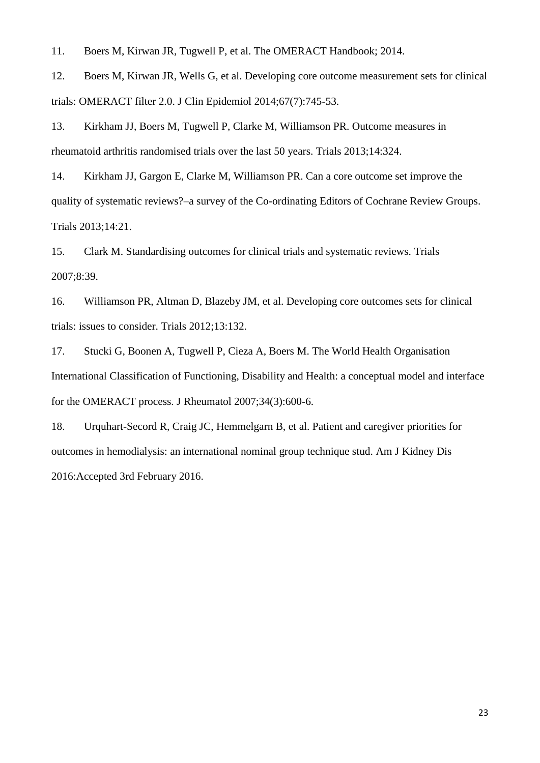<span id="page-22-0"></span>11. Boers M, Kirwan JR, Tugwell P, et al. The OMERACT Handbook; 2014.

12. Boers M, Kirwan JR, Wells G, et al. Developing core outcome measurement sets for clinical trials: OMERACT filter 2.0. J Clin Epidemiol 2014;67(7):745-53.

13. Kirkham JJ, Boers M, Tugwell P, Clarke M, Williamson PR. Outcome measures in rheumatoid arthritis randomised trials over the last 50 years. Trials 2013;14:324.

14. Kirkham JJ, Gargon E, Clarke M, Williamson PR. Can a core outcome set improve the quality of systematic reviews?–a survey of the Co-ordinating Editors of Cochrane Review Groups. Trials 2013;14:21.

<span id="page-22-1"></span>15. Clark M. Standardising outcomes for clinical trials and systematic reviews. Trials 2007;8:39.

<span id="page-22-2"></span>16. Williamson PR, Altman D, Blazeby JM, et al. Developing core outcomes sets for clinical trials: issues to consider. Trials 2012;13:132.

<span id="page-22-3"></span>17. Stucki G, Boonen A, Tugwell P, Cieza A, Boers M. The World Health Organisation International Classification of Functioning, Disability and Health: a conceptual model and interface for the OMERACT process. J Rheumatol 2007;34(3):600-6.

<span id="page-22-4"></span>18. Urquhart-Secord R, Craig JC, Hemmelgarn B, et al. Patient and caregiver priorities for outcomes in hemodialysis: an international nominal group technique stud. Am J Kidney Dis 2016:Accepted 3rd February 2016.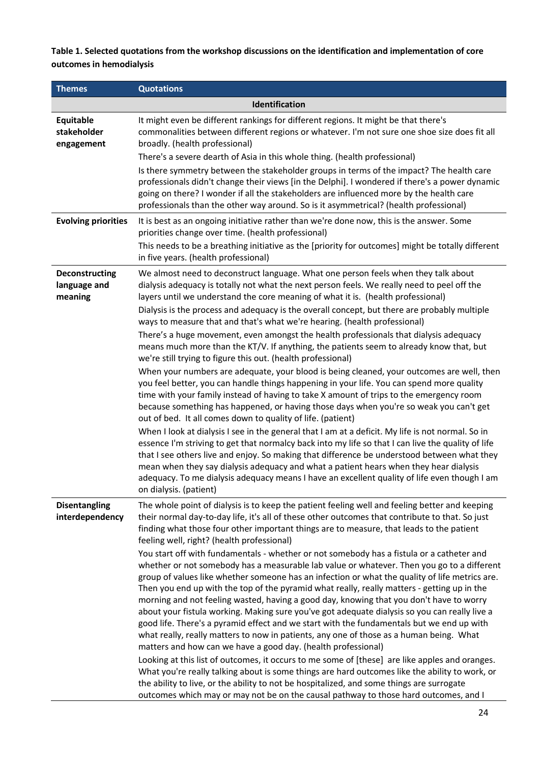**Table 1. Selected quotations from the workshop discussions on the identification and implementation of core outcomes in hemodialysis**

| <b>Themes</b>                                 | <b>Quotations</b>                                                                                                                                                                                                                                                                                                                                                                                                                                                                                                                                                                                                                                                                                                                                                                                                                                                                                                                                                                                                                                                                                                                                                                                                                                                                                                                                                                                                                                                                                                                                                                                                                                                                 |
|-----------------------------------------------|-----------------------------------------------------------------------------------------------------------------------------------------------------------------------------------------------------------------------------------------------------------------------------------------------------------------------------------------------------------------------------------------------------------------------------------------------------------------------------------------------------------------------------------------------------------------------------------------------------------------------------------------------------------------------------------------------------------------------------------------------------------------------------------------------------------------------------------------------------------------------------------------------------------------------------------------------------------------------------------------------------------------------------------------------------------------------------------------------------------------------------------------------------------------------------------------------------------------------------------------------------------------------------------------------------------------------------------------------------------------------------------------------------------------------------------------------------------------------------------------------------------------------------------------------------------------------------------------------------------------------------------------------------------------------------------|
|                                               | Identification                                                                                                                                                                                                                                                                                                                                                                                                                                                                                                                                                                                                                                                                                                                                                                                                                                                                                                                                                                                                                                                                                                                                                                                                                                                                                                                                                                                                                                                                                                                                                                                                                                                                    |
| <b>Equitable</b><br>stakeholder<br>engagement | It might even be different rankings for different regions. It might be that there's<br>commonalities between different regions or whatever. I'm not sure one shoe size does fit all<br>broadly. (health professional)                                                                                                                                                                                                                                                                                                                                                                                                                                                                                                                                                                                                                                                                                                                                                                                                                                                                                                                                                                                                                                                                                                                                                                                                                                                                                                                                                                                                                                                             |
|                                               | There's a severe dearth of Asia in this whole thing. (health professional)                                                                                                                                                                                                                                                                                                                                                                                                                                                                                                                                                                                                                                                                                                                                                                                                                                                                                                                                                                                                                                                                                                                                                                                                                                                                                                                                                                                                                                                                                                                                                                                                        |
|                                               | Is there symmetry between the stakeholder groups in terms of the impact? The health care<br>professionals didn't change their views [in the Delphi]. I wondered if there's a power dynamic<br>going on there? I wonder if all the stakeholders are influenced more by the health care<br>professionals than the other way around. So is it asymmetrical? (health professional)                                                                                                                                                                                                                                                                                                                                                                                                                                                                                                                                                                                                                                                                                                                                                                                                                                                                                                                                                                                                                                                                                                                                                                                                                                                                                                    |
| <b>Evolving priorities</b>                    | It is best as an ongoing initiative rather than we're done now, this is the answer. Some<br>priorities change over time. (health professional)<br>This needs to be a breathing initiative as the [priority for outcomes] might be totally different<br>in five years. (health professional)                                                                                                                                                                                                                                                                                                                                                                                                                                                                                                                                                                                                                                                                                                                                                                                                                                                                                                                                                                                                                                                                                                                                                                                                                                                                                                                                                                                       |
| Deconstructing<br>language and<br>meaning     | We almost need to deconstruct language. What one person feels when they talk about<br>dialysis adequacy is totally not what the next person feels. We really need to peel off the<br>layers until we understand the core meaning of what it is. (health professional)<br>Dialysis is the process and adequacy is the overall concept, but there are probably multiple<br>ways to measure that and that's what we're hearing. (health professional)<br>There's a huge movement, even amongst the health professionals that dialysis adequacy<br>means much more than the KT/V. If anything, the patients seem to already know that, but<br>we're still trying to figure this out. (health professional)<br>When your numbers are adequate, your blood is being cleaned, your outcomes are well, then<br>you feel better, you can handle things happening in your life. You can spend more quality<br>time with your family instead of having to take X amount of trips to the emergency room<br>because something has happened, or having those days when you're so weak you can't get<br>out of bed. It all comes down to quality of life. (patient)<br>When I look at dialysis I see in the general that I am at a deficit. My life is not normal. So in<br>essence I'm striving to get that normalcy back into my life so that I can live the quality of life<br>that I see others live and enjoy. So making that difference be understood between what they<br>mean when they say dialysis adequacy and what a patient hears when they hear dialysis<br>adequacy. To me dialysis adequacy means I have an excellent quality of life even though I am<br>on dialysis. (patient) |
| <b>Disentangling</b><br>interdependency       | The whole point of dialysis is to keep the patient feeling well and feeling better and keeping<br>their normal day-to-day life, it's all of these other outcomes that contribute to that. So just<br>finding what those four other important things are to measure, that leads to the patient<br>feeling well, right? (health professional)<br>You start off with fundamentals - whether or not somebody has a fistula or a catheter and<br>whether or not somebody has a measurable lab value or whatever. Then you go to a different<br>group of values like whether someone has an infection or what the quality of life metrics are.<br>Then you end up with the top of the pyramid what really, really matters - getting up in the<br>morning and not feeling wasted, having a good day, knowing that you don't have to worry<br>about your fistula working. Making sure you've got adequate dialysis so you can really live a<br>good life. There's a pyramid effect and we start with the fundamentals but we end up with<br>what really, really matters to now in patients, any one of those as a human being. What<br>matters and how can we have a good day. (health professional)<br>Looking at this list of outcomes, it occurs to me some of [these] are like apples and oranges.<br>What you're really talking about is some things are hard outcomes like the ability to work, or<br>the ability to live, or the ability to not be hospitalized, and some things are surrogate<br>outcomes which may or may not be on the causal pathway to those hard outcomes, and I                                                                                             |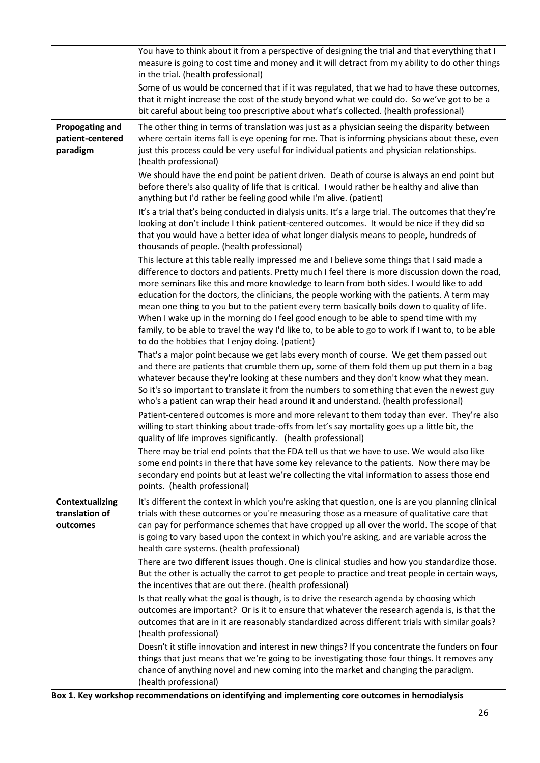|                                                        | You have to think about it from a perspective of designing the trial and that everything that I<br>measure is going to cost time and money and it will detract from my ability to do other things<br>in the trial. (health professional)                                                                                                                                                                                                                                                                                                                                                                                                                                                                                                   |
|--------------------------------------------------------|--------------------------------------------------------------------------------------------------------------------------------------------------------------------------------------------------------------------------------------------------------------------------------------------------------------------------------------------------------------------------------------------------------------------------------------------------------------------------------------------------------------------------------------------------------------------------------------------------------------------------------------------------------------------------------------------------------------------------------------------|
|                                                        | Some of us would be concerned that if it was regulated, that we had to have these outcomes,<br>that it might increase the cost of the study beyond what we could do. So we've got to be a<br>bit careful about being too prescriptive about what's collected. (health professional)                                                                                                                                                                                                                                                                                                                                                                                                                                                        |
| <b>Propogating and</b><br>patient-centered<br>paradigm | The other thing in terms of translation was just as a physician seeing the disparity between<br>where certain items fall is eye opening for me. That is informing physicians about these, even<br>just this process could be very useful for individual patients and physician relationships.<br>(health professional)                                                                                                                                                                                                                                                                                                                                                                                                                     |
|                                                        | We should have the end point be patient driven. Death of course is always an end point but<br>before there's also quality of life that is critical. I would rather be healthy and alive than<br>anything but I'd rather be feeling good while I'm alive. (patient)                                                                                                                                                                                                                                                                                                                                                                                                                                                                         |
|                                                        | It's a trial that's being conducted in dialysis units. It's a large trial. The outcomes that they're<br>looking at don't include I think patient-centered outcomes. It would be nice if they did so<br>that you would have a better idea of what longer dialysis means to people, hundreds of<br>thousands of people. (health professional)                                                                                                                                                                                                                                                                                                                                                                                                |
|                                                        | This lecture at this table really impressed me and I believe some things that I said made a<br>difference to doctors and patients. Pretty much I feel there is more discussion down the road,<br>more seminars like this and more knowledge to learn from both sides. I would like to add<br>education for the doctors, the clinicians, the people working with the patients. A term may<br>mean one thing to you but to the patient every term basically boils down to quality of life.<br>When I wake up in the morning do I feel good enough to be able to spend time with my<br>family, to be able to travel the way I'd like to, to be able to go to work if I want to, to be able<br>to do the hobbies that I enjoy doing. (patient) |
|                                                        | That's a major point because we get labs every month of course. We get them passed out<br>and there are patients that crumble them up, some of them fold them up put them in a bag<br>whatever because they're looking at these numbers and they don't know what they mean.<br>So it's so important to translate it from the numbers to something that even the newest guy<br>who's a patient can wrap their head around it and understand. (health professional)                                                                                                                                                                                                                                                                          |
|                                                        | Patient-centered outcomes is more and more relevant to them today than ever. They're also<br>willing to start thinking about trade-offs from let's say mortality goes up a little bit, the<br>quality of life improves significantly. (health professional)                                                                                                                                                                                                                                                                                                                                                                                                                                                                                |
|                                                        | There may be trial end points that the FDA tell us that we have to use. We would also like<br>some end points in there that have some key relevance to the patients. Now there may be<br>secondary end points but at least we're collecting the vital information to assess those end<br>points. (health professional)                                                                                                                                                                                                                                                                                                                                                                                                                     |
| Contextualizing<br>translation of<br>outcomes          | It's different the context in which you're asking that question, one is are you planning clinical<br>trials with these outcomes or you're measuring those as a measure of qualitative care that<br>can pay for performance schemes that have cropped up all over the world. The scope of that<br>is going to vary based upon the context in which you're asking, and are variable across the<br>health care systems. (health professional)                                                                                                                                                                                                                                                                                                 |
|                                                        | There are two different issues though. One is clinical studies and how you standardize those.<br>But the other is actually the carrot to get people to practice and treat people in certain ways,<br>the incentives that are out there. (health professional)                                                                                                                                                                                                                                                                                                                                                                                                                                                                              |
|                                                        | Is that really what the goal is though, is to drive the research agenda by choosing which<br>outcomes are important? Or is it to ensure that whatever the research agenda is, is that the<br>outcomes that are in it are reasonably standardized across different trials with similar goals?<br>(health professional)                                                                                                                                                                                                                                                                                                                                                                                                                      |
|                                                        | Doesn't it stifle innovation and interest in new things? If you concentrate the funders on four<br>things that just means that we're going to be investigating those four things. It removes any<br>chance of anything novel and new coming into the market and changing the paradigm.<br>(health professional)                                                                                                                                                                                                                                                                                                                                                                                                                            |

**Box 1. Key workshop recommendations on identifying and implementing core outcomes in hemodialysis**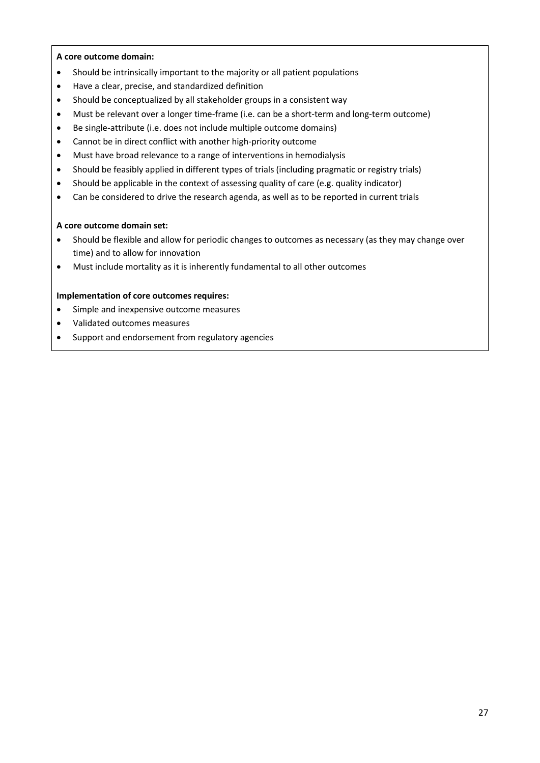#### **A core outcome domain:**

- Should be intrinsically important to the majority or all patient populations
- Have a clear, precise, and standardized definition
- Should be conceptualized by all stakeholder groups in a consistent way
- Must be relevant over a longer time-frame (i.e. can be a short-term and long-term outcome)
- Be single-attribute (i.e. does not include multiple outcome domains)
- Cannot be in direct conflict with another high-priority outcome
- Must have broad relevance to a range of interventions in hemodialysis
- Should be feasibly applied in different types of trials (including pragmatic or registry trials)
- Should be applicable in the context of assessing quality of care (e.g. quality indicator)
- Can be considered to drive the research agenda, as well as to be reported in current trials

#### **A core outcome domain set:**

- Should be flexible and allow for periodic changes to outcomes as necessary (as they may change over time) and to allow for innovation
- Must include mortality as it is inherently fundamental to all other outcomes

### **Implementation of core outcomes requires:**

- Simple and inexpensive outcome measures
- Validated outcomes measures
- Support and endorsement from regulatory agencies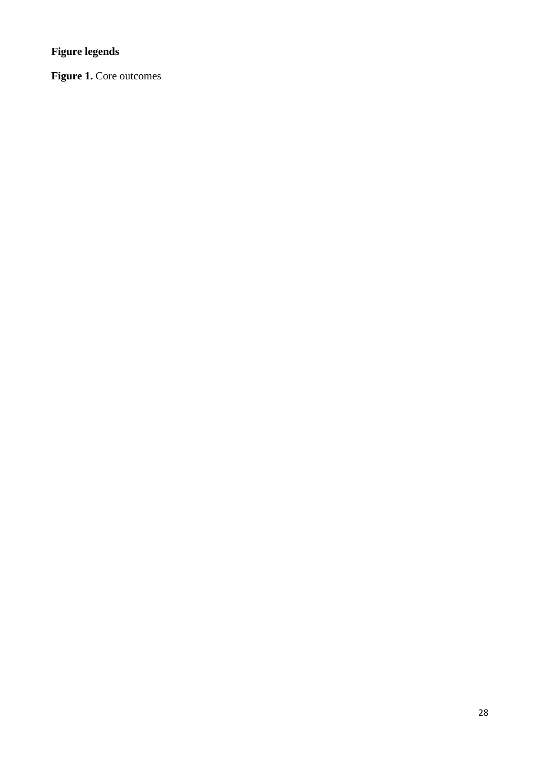## **Figure legends**

**Figure 1.** Core outcomes